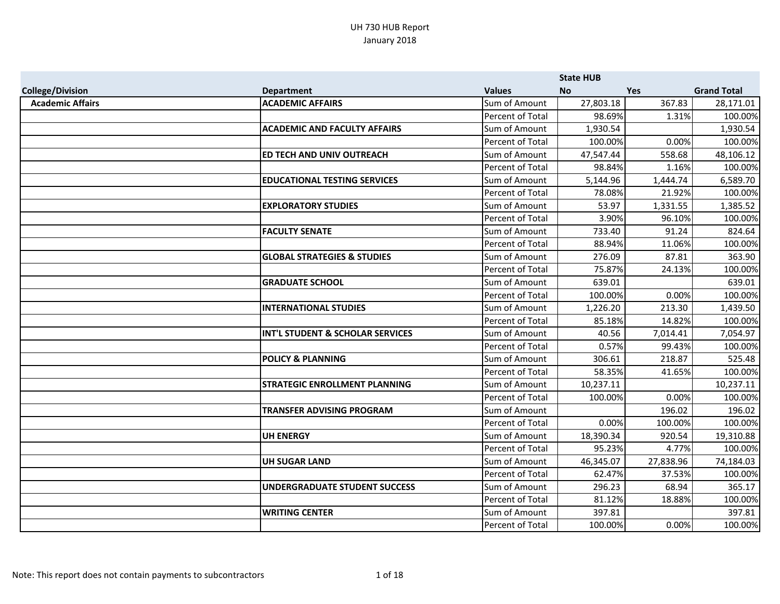|                         |                                        |                  | <b>State HUB</b> |            |                    |
|-------------------------|----------------------------------------|------------------|------------------|------------|--------------------|
| <b>College/Division</b> | <b>Department</b>                      | <b>Values</b>    | <b>No</b>        | <b>Yes</b> | <b>Grand Total</b> |
| <b>Academic Affairs</b> | <b>ACADEMIC AFFAIRS</b>                | Sum of Amount    | 27,803.18        | 367.83     | 28,171.01          |
|                         |                                        | Percent of Total | 98.69%           | 1.31%      | 100.00%            |
|                         | <b>ACADEMIC AND FACULTY AFFAIRS</b>    | Sum of Amount    | 1,930.54         |            | 1,930.54           |
|                         |                                        | Percent of Total | 100.00%          | 0.00%      | 100.00%            |
|                         | <b>ED TECH AND UNIV OUTREACH</b>       | Sum of Amount    | 47,547.44        | 558.68     | 48,106.12          |
|                         |                                        | Percent of Total | 98.84%           | 1.16%      | 100.00%            |
|                         | <b>EDUCATIONAL TESTING SERVICES</b>    | Sum of Amount    | 5,144.96         | 1,444.74   | 6,589.70           |
|                         |                                        | Percent of Total | 78.08%           | 21.92%     | 100.00%            |
|                         | <b>EXPLORATORY STUDIES</b>             | Sum of Amount    | 53.97            | 1,331.55   | 1,385.52           |
|                         |                                        | Percent of Total | 3.90%            | 96.10%     | 100.00%            |
|                         | <b>FACULTY SENATE</b>                  | Sum of Amount    | 733.40           | 91.24      | 824.64             |
|                         |                                        | Percent of Total | 88.94%           | 11.06%     | 100.00%            |
|                         | <b>GLOBAL STRATEGIES &amp; STUDIES</b> | Sum of Amount    | 276.09           | 87.81      | 363.90             |
|                         |                                        | Percent of Total | 75.87%           | 24.13%     | 100.00%            |
|                         | <b>GRADUATE SCHOOL</b>                 | Sum of Amount    | 639.01           |            | 639.01             |
|                         |                                        | Percent of Total | 100.00%          | 0.00%      | 100.00%            |
|                         | <b>INTERNATIONAL STUDIES</b>           | Sum of Amount    | 1,226.20         | 213.30     | 1,439.50           |
|                         |                                        | Percent of Total | 85.18%           | 14.82%     | 100.00%            |
|                         | INT'L STUDENT & SCHOLAR SERVICES       | Sum of Amount    | 40.56            | 7,014.41   | 7,054.97           |
|                         |                                        | Percent of Total | 0.57%            | 99.43%     | 100.00%            |
|                         | <b>POLICY &amp; PLANNING</b>           | Sum of Amount    | 306.61           | 218.87     | 525.48             |
|                         |                                        | Percent of Total | 58.35%           | 41.65%     | 100.00%            |
|                         | <b>STRATEGIC ENROLLMENT PLANNING</b>   | Sum of Amount    | 10,237.11        |            | 10,237.11          |
|                         |                                        | Percent of Total | 100.00%          | 0.00%      | 100.00%            |
|                         | <b>TRANSFER ADVISING PROGRAM</b>       | Sum of Amount    |                  | 196.02     | 196.02             |
|                         |                                        | Percent of Total | 0.00%            | 100.00%    | 100.00%            |
|                         | <b>UH ENERGY</b>                       | Sum of Amount    | 18,390.34        | 920.54     | 19,310.88          |
|                         |                                        | Percent of Total | 95.23%           | 4.77%      | 100.00%            |
|                         | <b>UH SUGAR LAND</b>                   | Sum of Amount    | 46,345.07        | 27,838.96  | 74,184.03          |
|                         |                                        | Percent of Total | 62.47%           | 37.53%     | 100.00%            |
|                         | UNDERGRADUATE STUDENT SUCCESS          | Sum of Amount    | 296.23           | 68.94      | 365.17             |
|                         |                                        | Percent of Total | 81.12%           | 18.88%     | 100.00%            |
|                         | <b>WRITING CENTER</b>                  | Sum of Amount    | 397.81           |            | 397.81             |
|                         |                                        | Percent of Total | 100.00%          | 0.00%      | 100.00%            |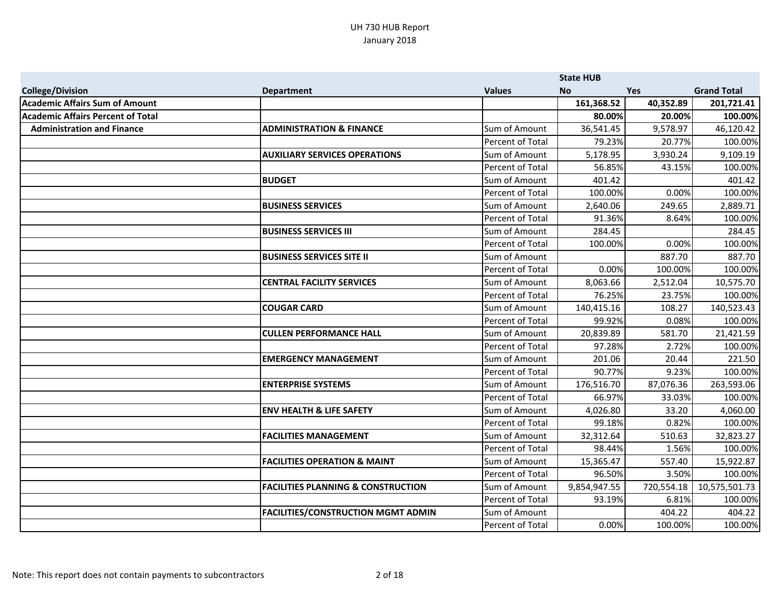|                                          |                                               |                         | <b>State HUB</b> |            |                    |
|------------------------------------------|-----------------------------------------------|-------------------------|------------------|------------|--------------------|
| <b>College/Division</b>                  | <b>Department</b>                             | <b>Values</b>           | <b>No</b>        | <b>Yes</b> | <b>Grand Total</b> |
| <b>Academic Affairs Sum of Amount</b>    |                                               |                         | 161,368.52       | 40,352.89  | 201,721.41         |
| <b>Academic Affairs Percent of Total</b> |                                               |                         | 80.00%           | 20.00%     | 100.00%            |
| <b>Administration and Finance</b>        | <b>ADMINISTRATION &amp; FINANCE</b>           | Sum of Amount           | 36,541.45        | 9,578.97   | 46,120.42          |
|                                          |                                               | Percent of Total        | 79.23%           | 20.77%     | 100.00%            |
|                                          | <b>AUXILIARY SERVICES OPERATIONS</b>          | Sum of Amount           | 5,178.95         | 3,930.24   | 9,109.19           |
|                                          |                                               | Percent of Total        | 56.85%           | 43.15%     | 100.00%            |
|                                          | <b>BUDGET</b>                                 | Sum of Amount           | 401.42           |            | 401.42             |
|                                          |                                               | Percent of Total        | 100.00%          | 0.00%      | 100.00%            |
|                                          | <b>BUSINESS SERVICES</b>                      | Sum of Amount           | 2,640.06         | 249.65     | 2,889.71           |
|                                          |                                               | Percent of Total        | 91.36%           | 8.64%      | 100.00%            |
|                                          | <b>BUSINESS SERVICES III</b>                  | Sum of Amount           | 284.45           |            | 284.45             |
|                                          |                                               | Percent of Total        | 100.00%          | 0.00%      | 100.00%            |
|                                          | <b>BUSINESS SERVICES SITE II</b>              | Sum of Amount           |                  | 887.70     | 887.70             |
|                                          |                                               | Percent of Total        | 0.00%            | 100.00%    | 100.00%            |
|                                          | <b>CENTRAL FACILITY SERVICES</b>              | Sum of Amount           | 8,063.66         | 2,512.04   | 10,575.70          |
|                                          |                                               | Percent of Total        | 76.25%           | 23.75%     | 100.00%            |
|                                          | <b>COUGAR CARD</b>                            | Sum of Amount           | 140,415.16       | 108.27     | 140,523.43         |
|                                          |                                               | Percent of Total        | 99.92%           | 0.08%      | 100.00%            |
|                                          | <b>CULLEN PERFORMANCE HALL</b>                | Sum of Amount           | 20,839.89        | 581.70     | 21,421.59          |
|                                          |                                               | Percent of Total        | 97.28%           | 2.72%      | 100.00%            |
|                                          | <b>EMERGENCY MANAGEMENT</b>                   | Sum of Amount           | 201.06           | 20.44      | 221.50             |
|                                          |                                               | <b>Percent of Total</b> | 90.77%           | 9.23%      | 100.00%            |
|                                          | <b>ENTERPRISE SYSTEMS</b>                     | Sum of Amount           | 176,516.70       | 87,076.36  | 263,593.06         |
|                                          |                                               | Percent of Total        | 66.97%           | 33.03%     | 100.00%            |
|                                          | <b>ENV HEALTH &amp; LIFE SAFETY</b>           | Sum of Amount           | 4,026.80         | 33.20      | 4,060.00           |
|                                          |                                               | Percent of Total        | 99.18%           | 0.82%      | 100.00%            |
|                                          | <b>FACILITIES MANAGEMENT</b>                  | Sum of Amount           | 32,312.64        | 510.63     | 32,823.27          |
|                                          |                                               | Percent of Total        | 98.44%           | 1.56%      | 100.00%            |
|                                          | <b>FACILITIES OPERATION &amp; MAINT</b>       | Sum of Amount           | 15,365.47        | 557.40     | 15,922.87          |
|                                          |                                               | Percent of Total        | 96.50%           | 3.50%      | 100.00%            |
|                                          | <b>FACILITIES PLANNING &amp; CONSTRUCTION</b> | Sum of Amount           | 9,854,947.55     | 720,554.18 | 10,575,501.73      |
|                                          |                                               | Percent of Total        | 93.19%           | 6.81%      | 100.00%            |
|                                          | <b>FACILITIES/CONSTRUCTION MGMT ADMIN</b>     | Sum of Amount           |                  | 404.22     | 404.22             |
|                                          |                                               | Percent of Total        | 0.00%            | 100.00%    | 100.00%            |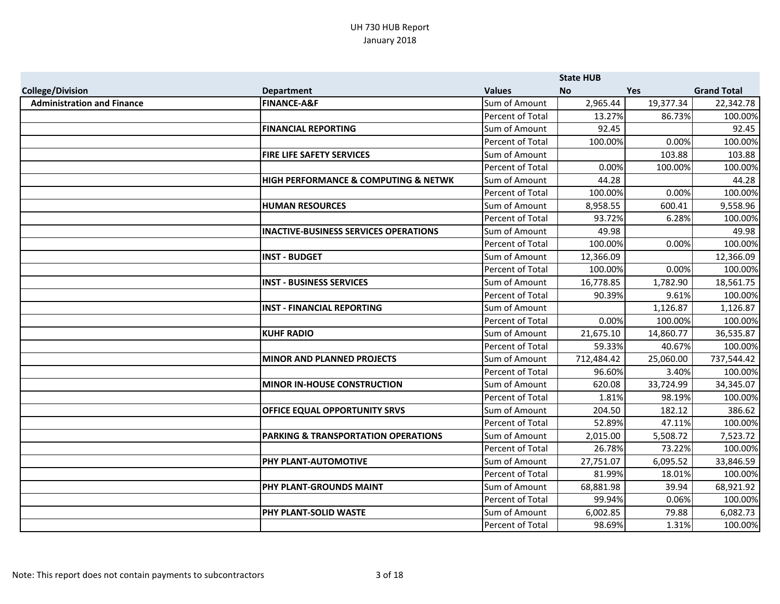|                                   |                                              |                         | <b>State HUB</b> |            |                    |
|-----------------------------------|----------------------------------------------|-------------------------|------------------|------------|--------------------|
| <b>College/Division</b>           | <b>Department</b>                            | <b>Values</b>           | <b>No</b>        | <b>Yes</b> | <b>Grand Total</b> |
| <b>Administration and Finance</b> | <b>FINANCE-A&amp;F</b>                       | Sum of Amount           | 2,965.44         | 19,377.34  | 22,342.78          |
|                                   |                                              | Percent of Total        | 13.27%           | 86.73%     | 100.00%            |
|                                   | <b>FINANCIAL REPORTING</b>                   | Sum of Amount           | 92.45            |            | 92.45              |
|                                   |                                              | Percent of Total        | 100.00%          | 0.00%      | 100.00%            |
|                                   | <b>FIRE LIFE SAFETY SERVICES</b>             | Sum of Amount           |                  | 103.88     | 103.88             |
|                                   |                                              | Percent of Total        | 0.00%            | 100.00%    | 100.00%            |
|                                   | HIGH PERFORMANCE & COMPUTING & NETWK         | Sum of Amount           | 44.28            |            | 44.28              |
|                                   |                                              | Percent of Total        | 100.00%          | 0.00%      | 100.00%            |
|                                   | <b>HUMAN RESOURCES</b>                       | Sum of Amount           | 8,958.55         | 600.41     | 9,558.96           |
|                                   |                                              | <b>Percent of Total</b> | 93.72%           | 6.28%      | 100.00%            |
|                                   | <b>INACTIVE-BUSINESS SERVICES OPERATIONS</b> | Sum of Amount           | 49.98            |            | 49.98              |
|                                   |                                              | Percent of Total        | 100.00%          | 0.00%      | 100.00%            |
|                                   | <b>INST - BUDGET</b>                         | Sum of Amount           | 12,366.09        |            | 12,366.09          |
|                                   |                                              | Percent of Total        | 100.00%          | 0.00%      | 100.00%            |
|                                   | <b>INST - BUSINESS SERVICES</b>              | Sum of Amount           | 16,778.85        | 1,782.90   | 18,561.75          |
|                                   |                                              | Percent of Total        | 90.39%           | 9.61%      | 100.00%            |
|                                   | <b>INST - FINANCIAL REPORTING</b>            | Sum of Amount           |                  | 1,126.87   | 1,126.87           |
|                                   |                                              | Percent of Total        | 0.00%            | 100.00%    | 100.00%            |
|                                   | <b>KUHF RADIO</b>                            | Sum of Amount           | 21,675.10        | 14,860.77  | 36,535.87          |
|                                   |                                              | Percent of Total        | 59.33%           | 40.67%     | 100.00%            |
|                                   | <b>MINOR AND PLANNED PROJECTS</b>            | Sum of Amount           | 712,484.42       | 25,060.00  | 737,544.42         |
|                                   |                                              | Percent of Total        | 96.60%           | 3.40%      | 100.00%            |
|                                   | <b>MINOR IN-HOUSE CONSTRUCTION</b>           | Sum of Amount           | 620.08           | 33,724.99  | 34,345.07          |
|                                   |                                              | Percent of Total        | 1.81%            | 98.19%     | 100.00%            |
|                                   | <b>OFFICE EQUAL OPPORTUNITY SRVS</b>         | Sum of Amount           | 204.50           | 182.12     | 386.62             |
|                                   |                                              | Percent of Total        | 52.89%           | 47.11%     | 100.00%            |
|                                   | PARKING & TRANSPORTATION OPERATIONS          | Sum of Amount           | 2,015.00         | 5,508.72   | 7,523.72           |
|                                   |                                              | Percent of Total        | 26.78%           | 73.22%     | 100.00%            |
|                                   | <b>PHY PLANT-AUTOMOTIVE</b>                  | Sum of Amount           | 27,751.07        | 6,095.52   | 33,846.59          |
|                                   |                                              | Percent of Total        | 81.99%           | 18.01%     | 100.00%            |
|                                   | <b>PHY PLANT-GROUNDS MAINT</b>               | Sum of Amount           | 68,881.98        | 39.94      | 68,921.92          |
|                                   |                                              | Percent of Total        | 99.94%           | 0.06%      | 100.00%            |
|                                   | <b>PHY PLANT-SOLID WASTE</b>                 | Sum of Amount           | 6,002.85         | 79.88      | 6,082.73           |
|                                   |                                              | Percent of Total        | 98.69%           | 1.31%      | 100.00%            |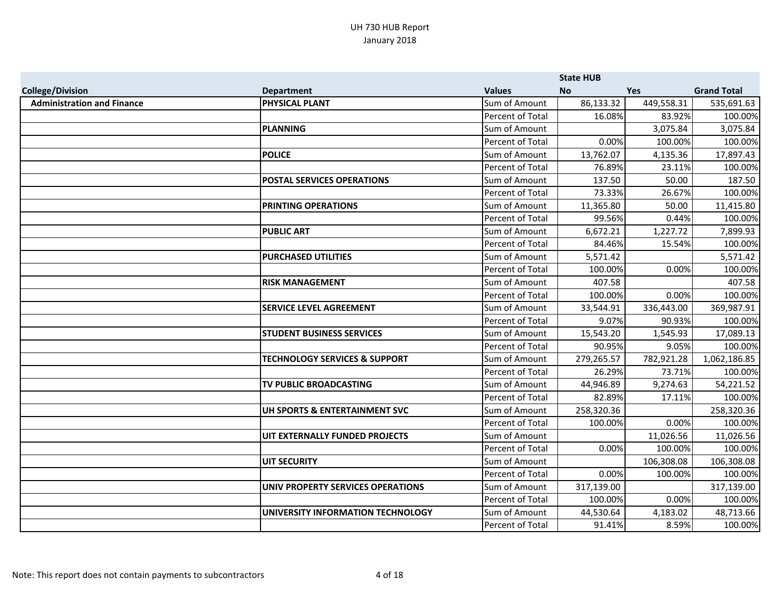|                                   |                                          |                  | <b>State HUB</b> |            |                    |
|-----------------------------------|------------------------------------------|------------------|------------------|------------|--------------------|
| <b>College/Division</b>           | <b>Department</b>                        | <b>Values</b>    | <b>No</b>        | <b>Yes</b> | <b>Grand Total</b> |
| <b>Administration and Finance</b> | <b>PHYSICAL PLANT</b>                    | Sum of Amount    | 86,133.32        | 449,558.31 | 535,691.63         |
|                                   |                                          | Percent of Total | 16.08%           | 83.92%     | 100.00%            |
|                                   | PLANNING                                 | Sum of Amount    |                  | 3,075.84   | 3,075.84           |
|                                   |                                          | Percent of Total | 0.00%            | 100.00%    | 100.00%            |
|                                   | <b>POLICE</b>                            | Sum of Amount    | 13,762.07        | 4,135.36   | 17,897.43          |
|                                   |                                          | Percent of Total | 76.89%           | 23.11%     | 100.00%            |
|                                   | <b>POSTAL SERVICES OPERATIONS</b>        | Sum of Amount    | 137.50           | 50.00      | 187.50             |
|                                   |                                          | Percent of Total | 73.33%           | 26.67%     | 100.00%            |
|                                   | <b>PRINTING OPERATIONS</b>               | Sum of Amount    | 11,365.80        | 50.00      | 11,415.80          |
|                                   |                                          | Percent of Total | 99.56%           | 0.44%      | 100.00%            |
|                                   | <b>PUBLIC ART</b>                        | Sum of Amount    | 6,672.21         | 1,227.72   | 7,899.93           |
|                                   |                                          | Percent of Total | 84.46%           | 15.54%     | 100.00%            |
|                                   | <b>PURCHASED UTILITIES</b>               | Sum of Amount    | 5,571.42         |            | 5,571.42           |
|                                   |                                          | Percent of Total | 100.00%          | 0.00%      | 100.00%            |
|                                   | <b>RISK MANAGEMENT</b>                   | Sum of Amount    | 407.58           |            | 407.58             |
|                                   |                                          | Percent of Total | 100.00%          | 0.00%      | 100.00%            |
|                                   | <b>SERVICE LEVEL AGREEMENT</b>           | Sum of Amount    | 33,544.91        | 336,443.00 | 369,987.91         |
|                                   |                                          | Percent of Total | 9.07%            | 90.93%     | 100.00%            |
|                                   | <b>STUDENT BUSINESS SERVICES</b>         | Sum of Amount    | 15,543.20        | 1,545.93   | 17,089.13          |
|                                   |                                          | Percent of Total | 90.95%           | 9.05%      | 100.00%            |
|                                   | <b>TECHNOLOGY SERVICES &amp; SUPPORT</b> | Sum of Amount    | 279,265.57       | 782,921.28 | 1,062,186.85       |
|                                   |                                          | Percent of Total | 26.29%           | 73.71%     | 100.00%            |
|                                   | <b>TV PUBLIC BROADCASTING</b>            | Sum of Amount    | 44,946.89        | 9,274.63   | 54,221.52          |
|                                   |                                          | Percent of Total | 82.89%           | 17.11%     | 100.00%            |
|                                   | UH SPORTS & ENTERTAINMENT SVC            | Sum of Amount    | 258,320.36       |            | 258,320.36         |
|                                   |                                          | Percent of Total | 100.00%          | 0.00%      | 100.00%            |
|                                   | UIT EXTERNALLY FUNDED PROJECTS           | Sum of Amount    |                  | 11,026.56  | 11,026.56          |
|                                   |                                          | Percent of Total | 0.00%            | 100.00%    | 100.00%            |
|                                   | UIT SECURITY                             | Sum of Amount    |                  | 106,308.08 | 106,308.08         |
|                                   |                                          | Percent of Total | 0.00%            | 100.00%    | 100.00%            |
|                                   | UNIV PROPERTY SERVICES OPERATIONS        | Sum of Amount    | 317,139.00       |            | 317,139.00         |
|                                   |                                          | Percent of Total | 100.00%          | 0.00%      | 100.00%            |
|                                   | UNIVERSITY INFORMATION TECHNOLOGY        | Sum of Amount    | 44,530.64        | 4,183.02   | 48,713.66          |
|                                   |                                          | Percent of Total | 91.41%           | 8.59%      | 100.00%            |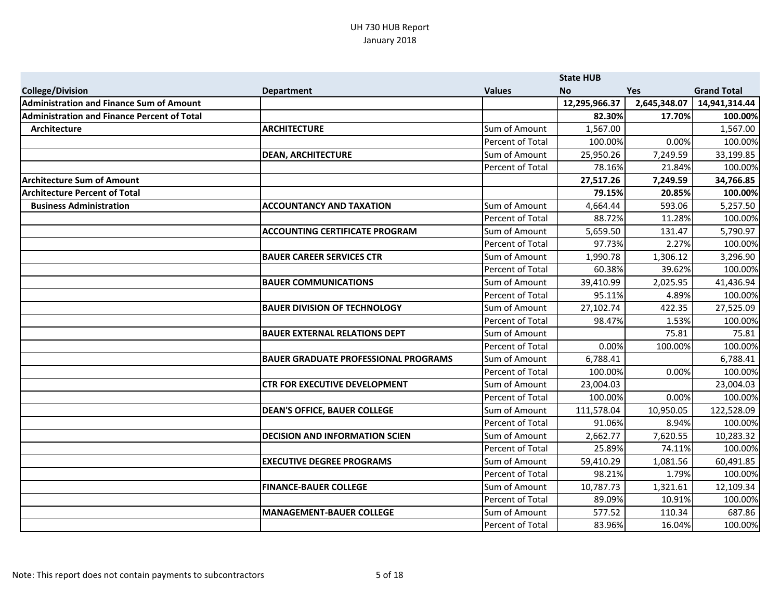|                                                    |                                             |                         | <b>State HUB</b> |              |                    |
|----------------------------------------------------|---------------------------------------------|-------------------------|------------------|--------------|--------------------|
| <b>College/Division</b>                            | <b>Department</b>                           | <b>Values</b>           | <b>No</b>        | <b>Yes</b>   | <b>Grand Total</b> |
| <b>Administration and Finance Sum of Amount</b>    |                                             |                         | 12,295,966.37    | 2,645,348.07 | 14,941,314.44      |
| <b>Administration and Finance Percent of Total</b> |                                             |                         | 82.30%           | 17.70%       | 100.00%            |
| Architecture                                       | <b>ARCHITECTURE</b>                         | Sum of Amount           | 1,567.00         |              | 1,567.00           |
|                                                    |                                             | Percent of Total        | 100.00%          | 0.00%        | 100.00%            |
|                                                    | <b>DEAN, ARCHITECTURE</b>                   | Sum of Amount           | 25,950.26        | 7,249.59     | 33,199.85          |
|                                                    |                                             | Percent of Total        | 78.16%           | 21.84%       | 100.00%            |
| <b>Architecture Sum of Amount</b>                  |                                             |                         | 27,517.26        | 7,249.59     | 34,766.85          |
| <b>Architecture Percent of Total</b>               |                                             |                         | 79.15%           | 20.85%       | 100.00%            |
| <b>Business Administration</b>                     | <b>ACCOUNTANCY AND TAXATION</b>             | Sum of Amount           | 4,664.44         | 593.06       | 5,257.50           |
|                                                    |                                             | Percent of Total        | 88.72%           | 11.28%       | 100.00%            |
|                                                    | <b>ACCOUNTING CERTIFICATE PROGRAM</b>       | Sum of Amount           | 5,659.50         | 131.47       | 5,790.97           |
|                                                    |                                             | Percent of Total        | 97.73%           | 2.27%        | 100.00%            |
|                                                    | <b>BAUER CAREER SERVICES CTR</b>            | Sum of Amount           | 1,990.78         | 1,306.12     | 3,296.90           |
|                                                    |                                             | Percent of Total        | 60.38%           | 39.62%       | 100.00%            |
|                                                    | <b>BAUER COMMUNICATIONS</b>                 | Sum of Amount           | 39,410.99        | 2,025.95     | 41,436.94          |
|                                                    |                                             | Percent of Total        | 95.11%           | 4.89%        | 100.00%            |
|                                                    | <b>BAUER DIVISION OF TECHNOLOGY</b>         | Sum of Amount           | 27,102.74        | 422.35       | 27,525.09          |
|                                                    |                                             | Percent of Total        | 98.47%           | 1.53%        | 100.00%            |
|                                                    | <b>BAUER EXTERNAL RELATIONS DEPT</b>        | Sum of Amount           |                  | 75.81        | 75.81              |
|                                                    |                                             | Percent of Total        | 0.00%            | 100.00%      | 100.00%            |
|                                                    | <b>BAUER GRADUATE PROFESSIONAL PROGRAMS</b> | Sum of Amount           | 6,788.41         |              | 6,788.41           |
|                                                    |                                             | Percent of Total        | 100.00%          | 0.00%        | 100.00%            |
|                                                    | <b>CTR FOR EXECUTIVE DEVELOPMENT</b>        | Sum of Amount           | 23,004.03        |              | 23,004.03          |
|                                                    |                                             | <b>Percent of Total</b> | 100.00%          | 0.00%        | 100.00%            |
|                                                    | <b>DEAN'S OFFICE, BAUER COLLEGE</b>         | Sum of Amount           | 111,578.04       | 10,950.05    | 122,528.09         |
|                                                    |                                             | Percent of Total        | 91.06%           | 8.94%        | 100.00%            |
|                                                    | <b>DECISION AND INFORMATION SCIEN</b>       | Sum of Amount           | 2,662.77         | 7,620.55     | 10,283.32          |
|                                                    |                                             | Percent of Total        | 25.89%           | 74.11%       | 100.00%            |
|                                                    | <b>EXECUTIVE DEGREE PROGRAMS</b>            | Sum of Amount           | 59,410.29        | 1,081.56     | 60,491.85          |
|                                                    |                                             | Percent of Total        | 98.21%           | 1.79%        | 100.00%            |
|                                                    | <b>FINANCE-BAUER COLLEGE</b>                | Sum of Amount           | 10,787.73        | 1,321.61     | 12,109.34          |
|                                                    |                                             | Percent of Total        | 89.09%           | 10.91%       | 100.00%            |
|                                                    | <b>MANAGEMENT-BAUER COLLEGE</b>             | Sum of Amount           | 577.52           | 110.34       | 687.86             |
|                                                    |                                             | <b>Percent of Total</b> | 83.96%           | 16.04%       | 100.00%            |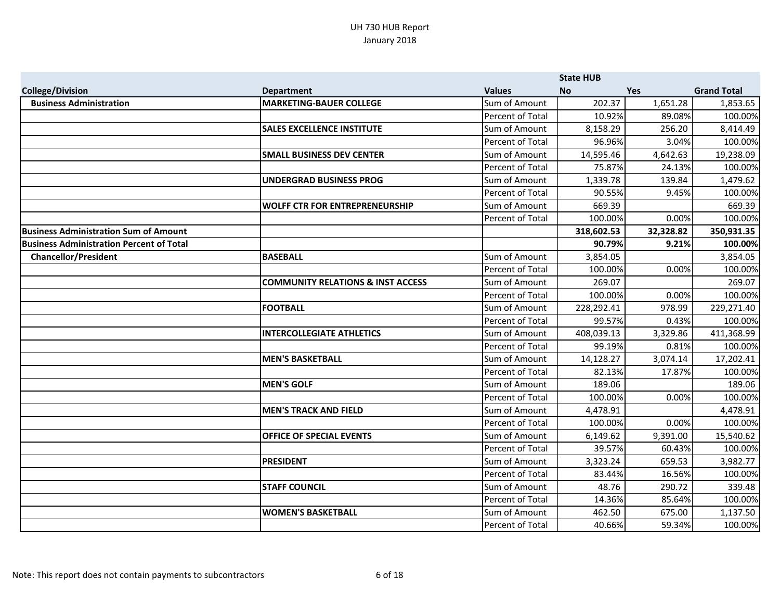|                                                 |                                              |                         | <b>State HUB</b> |            |                    |
|-------------------------------------------------|----------------------------------------------|-------------------------|------------------|------------|--------------------|
| <b>College/Division</b>                         | <b>Department</b>                            | <b>Values</b>           | <b>No</b>        | <b>Yes</b> | <b>Grand Total</b> |
| <b>Business Administration</b>                  | <b>MARKETING-BAUER COLLEGE</b>               | Sum of Amount           | 202.37           | 1,651.28   | 1,853.65           |
|                                                 |                                              | Percent of Total        | 10.92%           | 89.08%     | 100.00%            |
|                                                 | <b>SALES EXCELLENCE INSTITUTE</b>            | Sum of Amount           | 8,158.29         | 256.20     | 8,414.49           |
|                                                 |                                              | Percent of Total        | 96.96%           | 3.04%      | 100.00%            |
|                                                 | <b>SMALL BUSINESS DEV CENTER</b>             | Sum of Amount           | 14,595.46        | 4,642.63   | 19,238.09          |
|                                                 |                                              | Percent of Total        | 75.87%           | 24.13%     | 100.00%            |
|                                                 | UNDERGRAD BUSINESS PROG                      | Sum of Amount           | 1,339.78         | 139.84     | 1,479.62           |
|                                                 |                                              | Percent of Total        | 90.55%           | 9.45%      | 100.00%            |
|                                                 | <b>WOLFF CTR FOR ENTREPRENEURSHIP</b>        | Sum of Amount           | 669.39           |            | 669.39             |
|                                                 |                                              | Percent of Total        | 100.00%          | 0.00%      | 100.00%            |
| <b>Business Administration Sum of Amount</b>    |                                              |                         | 318,602.53       | 32,328.82  | 350,931.35         |
| <b>Business Administration Percent of Total</b> |                                              |                         | 90.79%           | 9.21%      | 100.00%            |
| <b>Chancellor/President</b>                     | <b>BASEBALL</b>                              | Sum of Amount           | 3,854.05         |            | 3,854.05           |
|                                                 |                                              | Percent of Total        | 100.00%          | 0.00%      | 100.00%            |
|                                                 | <b>COMMUNITY RELATIONS &amp; INST ACCESS</b> | Sum of Amount           | 269.07           |            | 269.07             |
|                                                 |                                              | Percent of Total        | 100.00%          | 0.00%      | 100.00%            |
|                                                 | <b>FOOTBALL</b>                              | Sum of Amount           | 228,292.41       | 978.99     | 229,271.40         |
|                                                 |                                              | Percent of Total        | 99.57%           | 0.43%      | 100.00%            |
|                                                 | <b>INTERCOLLEGIATE ATHLETICS</b>             | Sum of Amount           | 408,039.13       | 3,329.86   | 411,368.99         |
|                                                 |                                              | Percent of Total        | 99.19%           | 0.81%      | 100.00%            |
|                                                 | <b>MEN'S BASKETBALL</b>                      | Sum of Amount           | 14,128.27        | 3,074.14   | 17,202.41          |
|                                                 |                                              | <b>Percent of Total</b> | 82.13%           | 17.87%     | 100.00%            |
|                                                 | <b>MEN'S GOLF</b>                            | Sum of Amount           | 189.06           |            | 189.06             |
|                                                 |                                              | Percent of Total        | 100.00%          | 0.00%      | 100.00%            |
|                                                 | <b>MEN'S TRACK AND FIELD</b>                 | Sum of Amount           | 4,478.91         |            | 4,478.91           |
|                                                 |                                              | Percent of Total        | 100.00%          | 0.00%      | 100.00%            |
|                                                 | <b>OFFICE OF SPECIAL EVENTS</b>              | Sum of Amount           | 6,149.62         | 9,391.00   | 15,540.62          |
|                                                 |                                              | Percent of Total        | 39.57%           | 60.43%     | 100.00%            |
|                                                 | <b>PRESIDENT</b>                             | Sum of Amount           | 3,323.24         | 659.53     | 3,982.77           |
|                                                 |                                              | Percent of Total        | 83.44%           | 16.56%     | 100.00%            |
|                                                 | <b>STAFF COUNCIL</b>                         | Sum of Amount           | 48.76            | 290.72     | 339.48             |
|                                                 |                                              | Percent of Total        | 14.36%           | 85.64%     | 100.00%            |
|                                                 | <b>WOMEN'S BASKETBALL</b>                    | Sum of Amount           | 462.50           | 675.00     | 1,137.50           |
|                                                 |                                              | Percent of Total        | 40.66%           | 59.34%     | 100.00%            |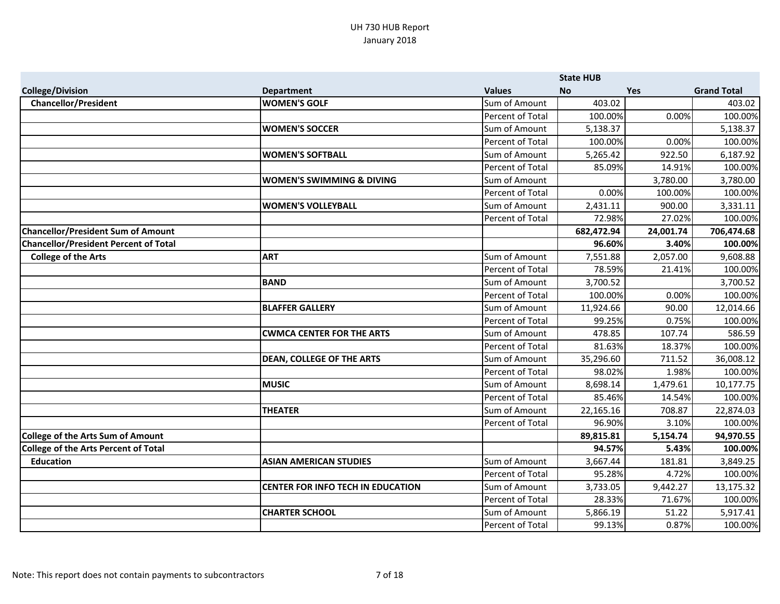|                                              |                                          |                  | <b>State HUB</b> |           |                    |
|----------------------------------------------|------------------------------------------|------------------|------------------|-----------|--------------------|
| <b>College/Division</b>                      | <b>Department</b>                        | <b>Values</b>    | <b>No</b>        | Yes       | <b>Grand Total</b> |
| <b>Chancellor/President</b>                  | <b>WOMEN'S GOLF</b>                      | Sum of Amount    | 403.02           |           | 403.02             |
|                                              |                                          | Percent of Total | 100.00%          | 0.00%     | 100.00%            |
|                                              | <b>WOMEN'S SOCCER</b>                    | Sum of Amount    | 5,138.37         |           | 5,138.37           |
|                                              |                                          | Percent of Total | 100.00%          | 0.00%     | 100.00%            |
|                                              | <b>WOMEN'S SOFTBALL</b>                  | Sum of Amount    | 5,265.42         | 922.50    | 6,187.92           |
|                                              |                                          | Percent of Total | 85.09%           | 14.91%    | 100.00%            |
|                                              | <b>WOMEN'S SWIMMING &amp; DIVING</b>     | Sum of Amount    |                  | 3,780.00  | 3,780.00           |
|                                              |                                          | Percent of Total | 0.00%            | 100.00%   | 100.00%            |
|                                              | <b>WOMEN'S VOLLEYBALL</b>                | Sum of Amount    | 2,431.11         | 900.00    | 3,331.11           |
|                                              |                                          | Percent of Total | 72.98%           | 27.02%    | 100.00%            |
| <b>Chancellor/President Sum of Amount</b>    |                                          |                  | 682,472.94       | 24,001.74 | 706,474.68         |
| <b>Chancellor/President Percent of Total</b> |                                          |                  | 96.60%           | 3.40%     | 100.00%            |
| <b>College of the Arts</b>                   | <b>ART</b>                               | Sum of Amount    | 7,551.88         | 2,057.00  | 9,608.88           |
|                                              |                                          | Percent of Total | 78.59%           | 21.41%    | 100.00%            |
|                                              | BAND                                     | Sum of Amount    | 3,700.52         |           | 3,700.52           |
|                                              |                                          | Percent of Total | 100.00%          | 0.00%     | 100.00%            |
|                                              | <b>BLAFFER GALLERY</b>                   | Sum of Amount    | 11,924.66        | 90.00     | 12,014.66          |
|                                              |                                          | Percent of Total | 99.25%           | 0.75%     | 100.00%            |
|                                              | <b>CWMCA CENTER FOR THE ARTS</b>         | Sum of Amount    | 478.85           | 107.74    | 586.59             |
|                                              |                                          | Percent of Total | 81.63%           | 18.37%    | 100.00%            |
|                                              | <b>DEAN, COLLEGE OF THE ARTS</b>         | Sum of Amount    | 35,296.60        | 711.52    | 36,008.12          |
|                                              |                                          | Percent of Total | 98.02%           | 1.98%     | 100.00%            |
|                                              | <b>MUSIC</b>                             | Sum of Amount    | 8,698.14         | 1,479.61  | 10,177.75          |
|                                              |                                          | Percent of Total | 85.46%           | 14.54%    | 100.00%            |
|                                              | <b>THEATER</b>                           | Sum of Amount    | 22,165.16        | 708.87    | 22,874.03          |
|                                              |                                          | Percent of Total | 96.90%           | 3.10%     | 100.00%            |
| College of the Arts Sum of Amount            |                                          |                  | 89,815.81        | 5,154.74  | 94,970.55          |
| <b>College of the Arts Percent of Total</b>  |                                          |                  | 94.57%           | 5.43%     | 100.00%            |
| <b>Education</b>                             | <b>ASIAN AMERICAN STUDIES</b>            | Sum of Amount    | 3,667.44         | 181.81    | 3,849.25           |
|                                              |                                          | Percent of Total | 95.28%           | 4.72%     | 100.00%            |
|                                              | <b>CENTER FOR INFO TECH IN EDUCATION</b> | Sum of Amount    | 3,733.05         | 9,442.27  | 13,175.32          |
|                                              |                                          | Percent of Total | 28.33%           | 71.67%    | 100.00%            |
|                                              | <b>CHARTER SCHOOL</b>                    | Sum of Amount    | 5,866.19         | 51.22     | 5,917.41           |
|                                              |                                          | Percent of Total | 99.13%           | 0.87%     | 100.00%            |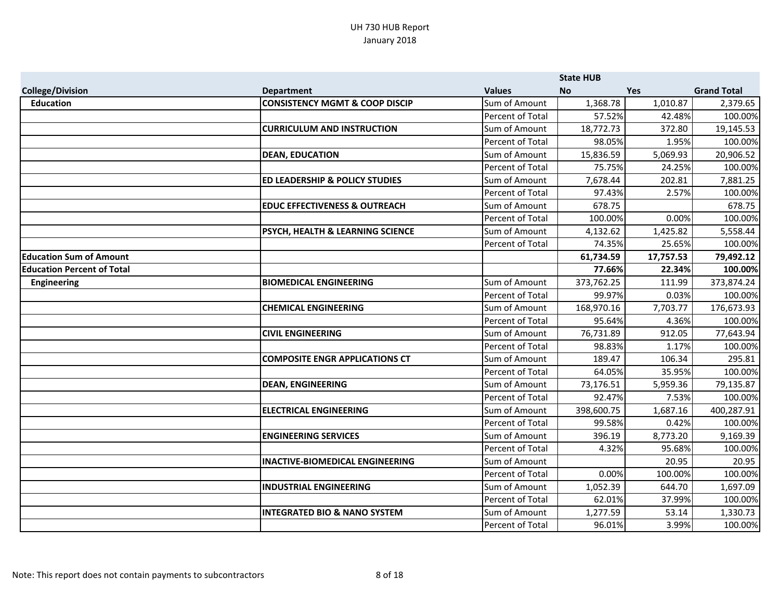|                                   |                                             |                         | <b>State HUB</b> |            |                    |
|-----------------------------------|---------------------------------------------|-------------------------|------------------|------------|--------------------|
| <b>College/Division</b>           | <b>Department</b>                           | <b>Values</b>           | <b>No</b>        | <b>Yes</b> | <b>Grand Total</b> |
| <b>Education</b>                  | <b>CONSISTENCY MGMT &amp; COOP DISCIP</b>   | Sum of Amount           | 1,368.78         | 1,010.87   | 2,379.65           |
|                                   |                                             | Percent of Total        | 57.52%           | 42.48%     | 100.00%            |
|                                   | <b>CURRICULUM AND INSTRUCTION</b>           | Sum of Amount           | 18,772.73        | 372.80     | 19,145.53          |
|                                   |                                             | Percent of Total        | 98.05%           | 1.95%      | 100.00%            |
|                                   | <b>DEAN, EDUCATION</b>                      | Sum of Amount           | 15,836.59        | 5,069.93   | 20,906.52          |
|                                   |                                             | Percent of Total        | 75.75%           | 24.25%     | 100.00%            |
|                                   | <b>ED LEADERSHIP &amp; POLICY STUDIES</b>   | Sum of Amount           | 7,678.44         | 202.81     | 7,881.25           |
|                                   |                                             | Percent of Total        | 97.43%           | 2.57%      | 100.00%            |
|                                   | <b>EDUC EFFECTIVENESS &amp; OUTREACH</b>    | Sum of Amount           | 678.75           |            | 678.75             |
|                                   |                                             | <b>Percent of Total</b> | 100.00%          | 0.00%      | 100.00%            |
|                                   | <b>PSYCH, HEALTH &amp; LEARNING SCIENCE</b> | Sum of Amount           | 4,132.62         | 1,425.82   | 5,558.44           |
|                                   |                                             | Percent of Total        | 74.35%           | 25.65%     | 100.00%            |
| <b>Education Sum of Amount</b>    |                                             |                         | 61,734.59        | 17,757.53  | 79,492.12          |
| <b>Education Percent of Total</b> |                                             |                         | 77.66%           | 22.34%     | 100.00%            |
| <b>Engineering</b>                | <b>BIOMEDICAL ENGINEERING</b>               | Sum of Amount           | 373,762.25       | 111.99     | 373,874.24         |
|                                   |                                             | Percent of Total        | 99.97%           | 0.03%      | 100.00%            |
|                                   | <b>CHEMICAL ENGINEERING</b>                 | Sum of Amount           | 168,970.16       | 7,703.77   | 176,673.93         |
|                                   |                                             | Percent of Total        | 95.64%           | 4.36%      | 100.00%            |
|                                   | <b>CIVIL ENGINEERING</b>                    | Sum of Amount           | 76,731.89        | 912.05     | 77,643.94          |
|                                   |                                             | Percent of Total        | 98.83%           | 1.17%      | 100.00%            |
|                                   | <b>COMPOSITE ENGR APPLICATIONS CT</b>       | Sum of Amount           | 189.47           | 106.34     | 295.81             |
|                                   |                                             | Percent of Total        | 64.05%           | 35.95%     | 100.00%            |
|                                   | <b>DEAN, ENGINEERING</b>                    | Sum of Amount           | 73,176.51        | 5,959.36   | 79,135.87          |
|                                   |                                             | Percent of Total        | 92.47%           | 7.53%      | 100.00%            |
|                                   | <b>ELECTRICAL ENGINEERING</b>               | Sum of Amount           | 398,600.75       | 1,687.16   | 400,287.91         |
|                                   |                                             | Percent of Total        | 99.58%           | 0.42%      | 100.00%            |
|                                   | <b>ENGINEERING SERVICES</b>                 | Sum of Amount           | 396.19           | 8,773.20   | 9,169.39           |
|                                   |                                             | Percent of Total        | 4.32%            | 95.68%     | 100.00%            |
|                                   | <b>INACTIVE-BIOMEDICAL ENGINEERING</b>      | Sum of Amount           |                  | 20.95      | 20.95              |
|                                   |                                             | Percent of Total        | 0.00%            | 100.00%    | 100.00%            |
|                                   | <b>INDUSTRIAL ENGINEERING</b>               | Sum of Amount           | 1,052.39         | 644.70     | 1,697.09           |
|                                   |                                             | Percent of Total        | 62.01%           | 37.99%     | 100.00%            |
|                                   | <b>INTEGRATED BIO &amp; NANO SYSTEM</b>     | Sum of Amount           | 1,277.59         | 53.14      | 1,330.73           |
|                                   |                                             | Percent of Total        | 96.01%           | 3.99%      | 100.00%            |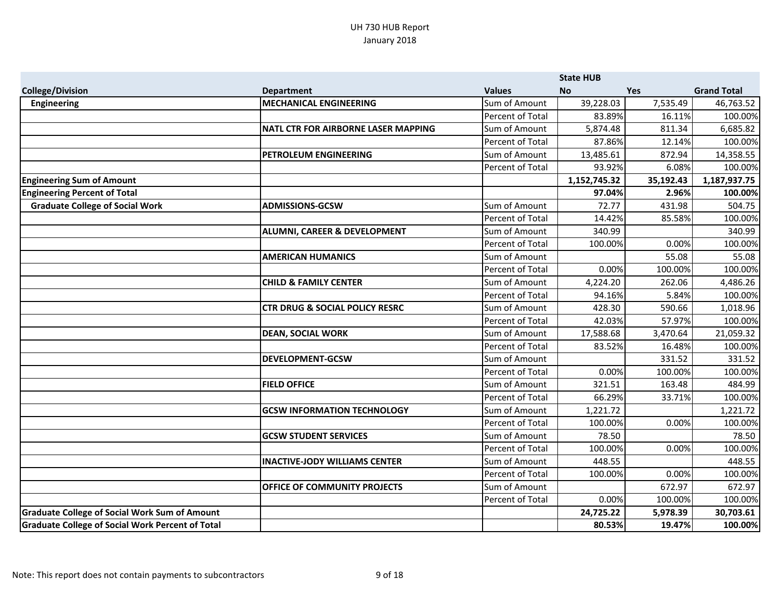|                                                         |                                            |                  | <b>State HUB</b> |            |                    |
|---------------------------------------------------------|--------------------------------------------|------------------|------------------|------------|--------------------|
| <b>College/Division</b>                                 | <b>Department</b>                          | <b>Values</b>    | <b>No</b>        | <b>Yes</b> | <b>Grand Total</b> |
| <b>Engineering</b>                                      | <b>MECHANICAL ENGINEERING</b>              | Sum of Amount    | 39,228.03        | 7,535.49   | 46,763.52          |
|                                                         |                                            | Percent of Total | 83.89%           | 16.11%     | 100.00%            |
|                                                         | <b>NATL CTR FOR AIRBORNE LASER MAPPING</b> | Sum of Amount    | 5,874.48         | 811.34     | 6,685.82           |
|                                                         |                                            | Percent of Total | 87.86%           | 12.14%     | 100.00%            |
|                                                         | <b>PETROLEUM ENGINEERING</b>               | Sum of Amount    | 13,485.61        | 872.94     | 14,358.55          |
|                                                         |                                            | Percent of Total | 93.92%           | 6.08%      | 100.00%            |
| <b>Engineering Sum of Amount</b>                        |                                            |                  | 1,152,745.32     | 35,192.43  | 1,187,937.75       |
| <b>Engineering Percent of Total</b>                     |                                            |                  | 97.04%           | 2.96%      | 100.00%            |
| <b>Graduate College of Social Work</b>                  | <b>ADMISSIONS-GCSW</b>                     | Sum of Amount    | 72.77            | 431.98     | 504.75             |
|                                                         |                                            | Percent of Total | 14.42%           | 85.58%     | 100.00%            |
|                                                         | <b>ALUMNI, CAREER &amp; DEVELOPMENT</b>    | Sum of Amount    | 340.99           |            | 340.99             |
|                                                         |                                            | Percent of Total | 100.00%          | 0.00%      | 100.00%            |
|                                                         | <b>AMERICAN HUMANICS</b>                   | Sum of Amount    |                  | 55.08      | 55.08              |
|                                                         |                                            | Percent of Total | 0.00%            | 100.00%    | 100.00%            |
|                                                         | <b>CHILD &amp; FAMILY CENTER</b>           | Sum of Amount    | 4,224.20         | 262.06     | 4,486.26           |
|                                                         |                                            | Percent of Total | 94.16%           | 5.84%      | 100.00%            |
|                                                         | <b>CTR DRUG &amp; SOCIAL POLICY RESRC</b>  | Sum of Amount    | 428.30           | 590.66     | 1,018.96           |
|                                                         |                                            | Percent of Total | 42.03%           | 57.97%     | 100.00%            |
|                                                         | <b>DEAN, SOCIAL WORK</b>                   | Sum of Amount    | 17,588.68        | 3,470.64   | 21,059.32          |
|                                                         |                                            | Percent of Total | 83.52%           | 16.48%     | 100.00%            |
|                                                         | <b>DEVELOPMENT-GCSW</b>                    | Sum of Amount    |                  | 331.52     | 331.52             |
|                                                         |                                            | Percent of Total | 0.00%            | 100.00%    | 100.00%            |
|                                                         | <b>FIELD OFFICE</b>                        | Sum of Amount    | 321.51           | 163.48     | 484.99             |
|                                                         |                                            | Percent of Total | 66.29%           | 33.71%     | 100.00%            |
|                                                         | <b>GCSW INFORMATION TECHNOLOGY</b>         | Sum of Amount    | 1,221.72         |            | 1,221.72           |
|                                                         |                                            | Percent of Total | 100.00%          | 0.00%      | 100.00%            |
|                                                         | <b>GCSW STUDENT SERVICES</b>               | Sum of Amount    | 78.50            |            | 78.50              |
|                                                         |                                            | Percent of Total | 100.00%          | 0.00%      | 100.00%            |
|                                                         | <b>INACTIVE-JODY WILLIAMS CENTER</b>       | Sum of Amount    | 448.55           |            | 448.55             |
|                                                         |                                            | Percent of Total | 100.00%          | 0.00%      | 100.00%            |
|                                                         | <b>OFFICE OF COMMUNITY PROJECTS</b>        | Sum of Amount    |                  | 672.97     | 672.97             |
|                                                         |                                            | Percent of Total | 0.00%            | 100.00%    | 100.00%            |
| <b>Graduate College of Social Work Sum of Amount</b>    |                                            |                  | 24,725.22        | 5,978.39   | 30,703.61          |
| <b>Graduate College of Social Work Percent of Total</b> |                                            |                  | 80.53%           | 19.47%     | 100.00%            |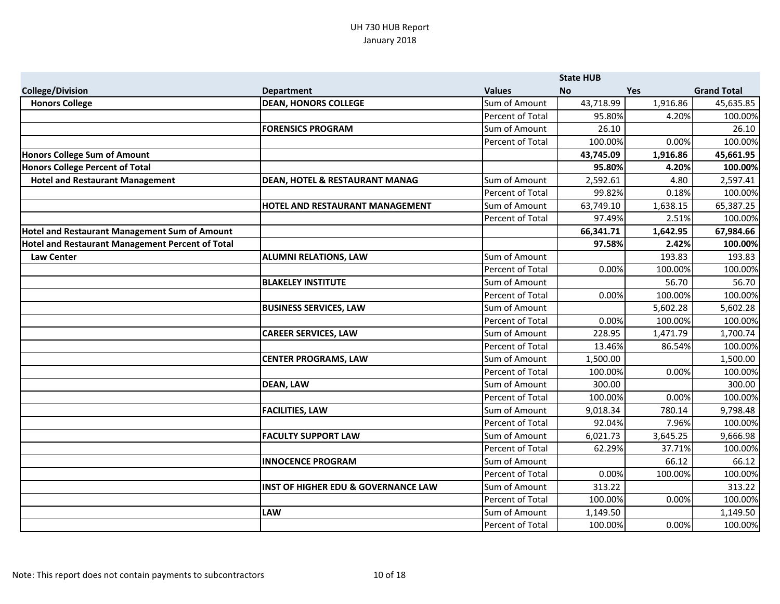|                                                  |                                                |                  | <b>State HUB</b> |            |                    |
|--------------------------------------------------|------------------------------------------------|------------------|------------------|------------|--------------------|
| <b>College/Division</b>                          | <b>Department</b>                              | <b>Values</b>    | <b>No</b>        | <b>Yes</b> | <b>Grand Total</b> |
| <b>Honors College</b>                            | <b>DEAN, HONORS COLLEGE</b>                    | Sum of Amount    | 43,718.99        | 1,916.86   | 45,635.85          |
|                                                  |                                                | Percent of Total | 95.80%           | 4.20%      | 100.00%            |
|                                                  | <b>FORENSICS PROGRAM</b>                       | Sum of Amount    | 26.10            |            | 26.10              |
|                                                  |                                                | Percent of Total | 100.00%          | 0.00%      | 100.00%            |
| <b>Honors College Sum of Amount</b>              |                                                |                  | 43,745.09        | 1,916.86   | 45,661.95          |
| <b>Honors College Percent of Total</b>           |                                                |                  | 95.80%           | 4.20%      | 100.00%            |
| <b>Hotel and Restaurant Management</b>           | <b>DEAN, HOTEL &amp; RESTAURANT MANAG</b>      | Sum of Amount    | 2,592.61         | 4.80       | 2,597.41           |
|                                                  |                                                | Percent of Total | 99.82%           | 0.18%      | 100.00%            |
|                                                  | <b>HOTEL AND RESTAURANT MANAGEMENT</b>         | Sum of Amount    | 63,749.10        | 1,638.15   | 65,387.25          |
|                                                  |                                                | Percent of Total | 97.49%           | 2.51%      | 100.00%            |
| Hotel and Restaurant Management Sum of Amount    |                                                |                  | 66,341.71        | 1,642.95   | 67,984.66          |
| Hotel and Restaurant Management Percent of Total |                                                |                  | 97.58%           | 2.42%      | 100.00%            |
| <b>Law Center</b>                                | <b>ALUMNI RELATIONS, LAW</b>                   | Sum of Amount    |                  | 193.83     | 193.83             |
|                                                  |                                                | Percent of Total | 0.00%            | 100.00%    | 100.00%            |
|                                                  | <b>BLAKELEY INSTITUTE</b>                      | Sum of Amount    |                  | 56.70      | 56.70              |
|                                                  |                                                | Percent of Total | 0.00%            | 100.00%    | 100.00%            |
|                                                  | <b>BUSINESS SERVICES, LAW</b>                  | Sum of Amount    |                  | 5,602.28   | 5,602.28           |
|                                                  |                                                | Percent of Total | 0.00%            | 100.00%    | 100.00%            |
|                                                  | <b>CAREER SERVICES, LAW</b>                    | Sum of Amount    | 228.95           | 1,471.79   | 1,700.74           |
|                                                  |                                                | Percent of Total | 13.46%           | 86.54%     | 100.00%            |
|                                                  | <b>CENTER PROGRAMS, LAW</b>                    | Sum of Amount    | 1,500.00         |            | 1,500.00           |
|                                                  |                                                | Percent of Total | 100.00%          | 0.00%      | 100.00%            |
|                                                  | <b>DEAN, LAW</b>                               | Sum of Amount    | 300.00           |            | 300.00             |
|                                                  |                                                | Percent of Total | 100.00%          | 0.00%      | 100.00%            |
|                                                  | <b>FACILITIES, LAW</b>                         | Sum of Amount    | 9,018.34         | 780.14     | 9,798.48           |
|                                                  |                                                | Percent of Total | 92.04%           | 7.96%      | 100.00%            |
|                                                  | <b>FACULTY SUPPORT LAW</b>                     | Sum of Amount    | 6,021.73         | 3,645.25   | 9,666.98           |
|                                                  |                                                | Percent of Total | 62.29%           | 37.71%     | 100.00%            |
|                                                  | <b>INNOCENCE PROGRAM</b>                       | Sum of Amount    |                  | 66.12      | 66.12              |
|                                                  |                                                | Percent of Total | 0.00%            | 100.00%    | 100.00%            |
|                                                  | <b>INST OF HIGHER EDU &amp; GOVERNANCE LAW</b> | Sum of Amount    | 313.22           |            | 313.22             |
|                                                  |                                                | Percent of Total | 100.00%          | 0.00%      | 100.00%            |
|                                                  | <b>LAW</b>                                     | Sum of Amount    | 1,149.50         |            | 1,149.50           |
|                                                  |                                                | Percent of Total | 100.00%          | 0.00%      | 100.00%            |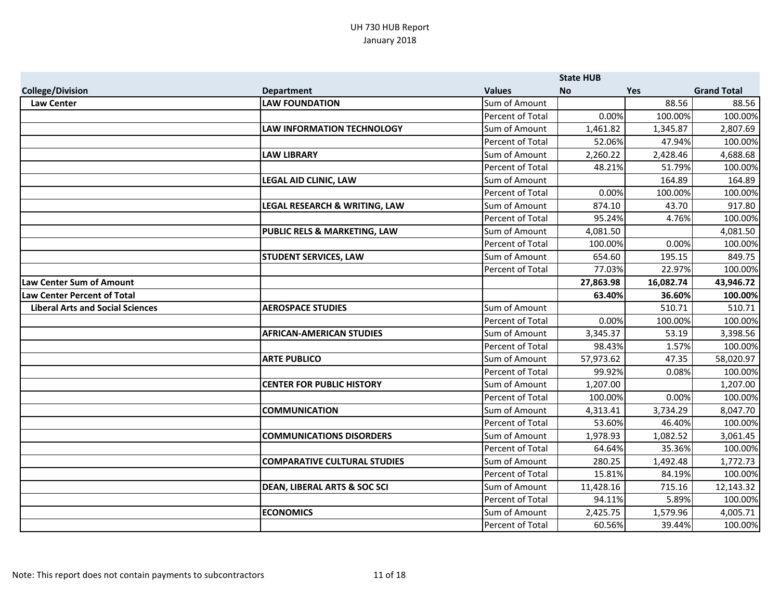|                                         |                                         |                  | <b>State HUB</b> |            |                    |
|-----------------------------------------|-----------------------------------------|------------------|------------------|------------|--------------------|
| <b>College/Division</b>                 | <b>Department</b>                       | <b>Values</b>    | <b>No</b>        | <b>Yes</b> | <b>Grand Total</b> |
| <b>Law Center</b>                       | <b>LAW FOUNDATION</b>                   | Sum of Amount    |                  | 88.56      | 88.56              |
|                                         |                                         | Percent of Total | 0.00%            | 100.00%    | 100.00%            |
|                                         | <b>LAW INFORMATION TECHNOLOGY</b>       | Sum of Amount    | 1,461.82         | 1,345.87   | 2,807.69           |
|                                         |                                         | Percent of Total | 52.06%           | 47.94%     | 100.00%            |
|                                         | <b>LAW LIBRARY</b>                      | Sum of Amount    | 2,260.22         | 2,428.46   | 4,688.68           |
|                                         |                                         | Percent of Total | 48.21%           | 51.79%     | 100.00%            |
|                                         | <b>LEGAL AID CLINIC, LAW</b>            | Sum of Amount    |                  | 164.89     | 164.89             |
|                                         |                                         | Percent of Total | 0.00%            | 100.00%    | 100.00%            |
|                                         | LEGAL RESEARCH & WRITING, LAW           | Sum of Amount    | 874.10           | 43.70      | 917.80             |
|                                         |                                         | Percent of Total | 95.24%           | 4.76%      | 100.00%            |
|                                         | <b>PUBLIC RELS &amp; MARKETING, LAW</b> | Sum of Amount    | 4,081.50         |            | 4,081.50           |
|                                         |                                         | Percent of Total | 100.00%          | 0.00%      | 100.00%            |
|                                         | <b>STUDENT SERVICES, LAW</b>            | Sum of Amount    | 654.60           | 195.15     | 849.75             |
|                                         |                                         | Percent of Total | 77.03%           | 22.97%     | 100.00%            |
| <b>Law Center Sum of Amount</b>         |                                         |                  | 27,863.98        | 16,082.74  | 43,946.72          |
| <b>Law Center Percent of Total</b>      |                                         |                  | 63.40%           | 36.60%     | 100.00%            |
| <b>Liberal Arts and Social Sciences</b> | <b>AEROSPACE STUDIES</b>                | Sum of Amount    |                  | 510.71     | 510.71             |
|                                         |                                         | Percent of Total | 0.00%            | 100.00%    | 100.00%            |
|                                         | <b>AFRICAN-AMERICAN STUDIES</b>         | Sum of Amount    | 3,345.37         | 53.19      | 3,398.56           |
|                                         |                                         | Percent of Total | 98.43%           | 1.57%      | 100.00%            |
|                                         | <b>ARTE PUBLICO</b>                     | Sum of Amount    | 57,973.62        | 47.35      | 58,020.97          |
|                                         |                                         | Percent of Total | 99.92%           | 0.08%      | 100.00%            |
|                                         | <b>CENTER FOR PUBLIC HISTORY</b>        | Sum of Amount    | 1,207.00         |            | 1,207.00           |
|                                         |                                         | Percent of Total | 100.00%          | 0.00%      | 100.00%            |
|                                         | <b>COMMUNICATION</b>                    | Sum of Amount    | 4,313.41         | 3,734.29   | 8,047.70           |
|                                         |                                         | Percent of Total | 53.60%           | 46.40%     | 100.00%            |
|                                         | <b>COMMUNICATIONS DISORDERS</b>         | Sum of Amount    | 1,978.93         | 1,082.52   | 3,061.45           |
|                                         |                                         | Percent of Total | 64.64%           | 35.36%     | 100.00%            |
|                                         | <b>COMPARATIVE CULTURAL STUDIES</b>     | Sum of Amount    | 280.25           | 1,492.48   | 1,772.73           |
|                                         |                                         | Percent of Total | 15.81%           | 84.19%     | 100.00%            |
|                                         | <b>DEAN, LIBERAL ARTS &amp; SOC SCI</b> | Sum of Amount    | 11,428.16        | 715.16     | 12,143.32          |
|                                         |                                         | Percent of Total | 94.11%           | 5.89%      | 100.00%            |
|                                         | <b>ECONOMICS</b>                        | Sum of Amount    | 2,425.75         | 1,579.96   | 4,005.71           |
|                                         |                                         | Percent of Total | 60.56%           | 39.44%     | 100.00%            |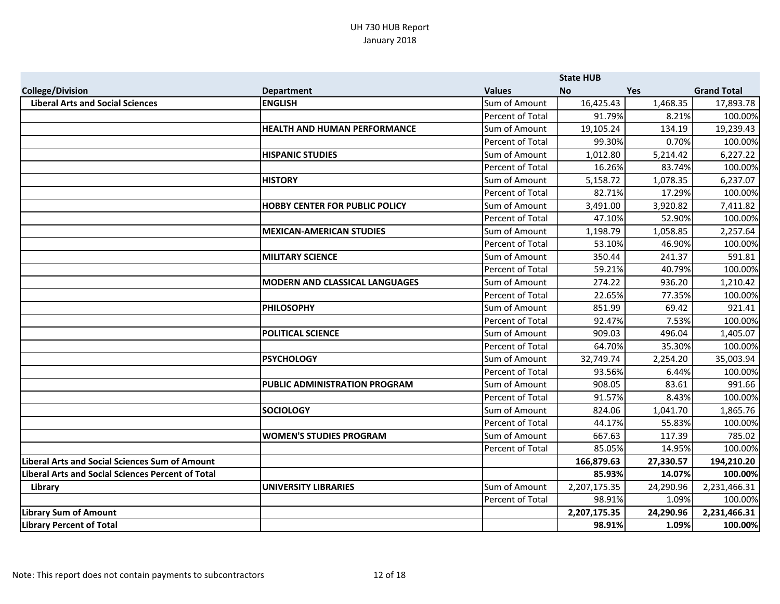|                                                          |                                       |                         | <b>State HUB</b> |            |                    |
|----------------------------------------------------------|---------------------------------------|-------------------------|------------------|------------|--------------------|
| <b>College/Division</b>                                  | <b>Department</b>                     | <b>Values</b>           | <b>No</b>        | <b>Yes</b> | <b>Grand Total</b> |
| <b>Liberal Arts and Social Sciences</b>                  | <b>ENGLISH</b>                        | Sum of Amount           | 16,425.43        | 1,468.35   | 17,893.78          |
|                                                          |                                       | Percent of Total        | 91.79%           | 8.21%      | 100.00%            |
|                                                          | <b>HEALTH AND HUMAN PERFORMANCE</b>   | Sum of Amount           | 19,105.24        | 134.19     | 19,239.43          |
|                                                          |                                       | Percent of Total        | 99.30%           | 0.70%      | 100.00%            |
|                                                          | <b>HISPANIC STUDIES</b>               | Sum of Amount           | 1,012.80         | 5,214.42   | 6,227.22           |
|                                                          |                                       | Percent of Total        | 16.26%           | 83.74%     | 100.00%            |
|                                                          | <b>HISTORY</b>                        | Sum of Amount           | 5,158.72         | 1,078.35   | 6,237.07           |
|                                                          |                                       | Percent of Total        | 82.71%           | 17.29%     | 100.00%            |
|                                                          | <b>HOBBY CENTER FOR PUBLIC POLICY</b> | Sum of Amount           | 3,491.00         | 3,920.82   | 7,411.82           |
|                                                          |                                       | Percent of Total        | 47.10%           | 52.90%     | 100.00%            |
|                                                          | <b>MEXICAN-AMERICAN STUDIES</b>       | Sum of Amount           | 1,198.79         | 1,058.85   | 2,257.64           |
|                                                          |                                       | Percent of Total        | 53.10%           | 46.90%     | 100.00%            |
|                                                          | <b>MILITARY SCIENCE</b>               | Sum of Amount           | 350.44           | 241.37     | 591.81             |
|                                                          |                                       | Percent of Total        | 59.21%           | 40.79%     | 100.00%            |
|                                                          | <b>MODERN AND CLASSICAL LANGUAGES</b> | Sum of Amount           | 274.22           | 936.20     | 1,210.42           |
|                                                          |                                       | Percent of Total        | 22.65%           | 77.35%     | 100.00%            |
|                                                          | <b>PHILOSOPHY</b>                     | Sum of Amount           | 851.99           | 69.42      | 921.41             |
|                                                          |                                       | Percent of Total        | 92.47%           | 7.53%      | 100.00%            |
|                                                          | <b>POLITICAL SCIENCE</b>              | Sum of Amount           | 909.03           | 496.04     | 1,405.07           |
|                                                          |                                       | <b>Percent of Total</b> | 64.70%           | 35.30%     | 100.00%            |
|                                                          | <b>PSYCHOLOGY</b>                     | Sum of Amount           | 32,749.74        | 2,254.20   | 35,003.94          |
|                                                          |                                       | Percent of Total        | 93.56%           | 6.44%      | 100.00%            |
|                                                          | <b>PUBLIC ADMINISTRATION PROGRAM</b>  | Sum of Amount           | 908.05           | 83.61      | 991.66             |
|                                                          |                                       | Percent of Total        | 91.57%           | 8.43%      | 100.00%            |
|                                                          | <b>SOCIOLOGY</b>                      | Sum of Amount           | 824.06           | 1,041.70   | 1,865.76           |
|                                                          |                                       | Percent of Total        | 44.17%           | 55.83%     | 100.00%            |
|                                                          | <b>WOMEN'S STUDIES PROGRAM</b>        | Sum of Amount           | 667.63           | 117.39     | 785.02             |
|                                                          |                                       | Percent of Total        | 85.05%           | 14.95%     | 100.00%            |
| <b>Liberal Arts and Social Sciences Sum of Amount</b>    |                                       |                         | 166,879.63       | 27,330.57  | 194,210.20         |
| <b>Liberal Arts and Social Sciences Percent of Total</b> |                                       |                         | 85.93%           | 14.07%     | 100.00%            |
| Library                                                  | UNIVERSITY LIBRARIES                  | Sum of Amount           | 2,207,175.35     | 24,290.96  | 2,231,466.31       |
|                                                          |                                       | Percent of Total        | 98.91%           | 1.09%      | 100.00%            |
| <b>Library Sum of Amount</b>                             |                                       |                         | 2,207,175.35     | 24,290.96  | 2,231,466.31       |
| <b>Library Percent of Total</b>                          |                                       |                         | 98.91%           | 1.09%      | 100.00%            |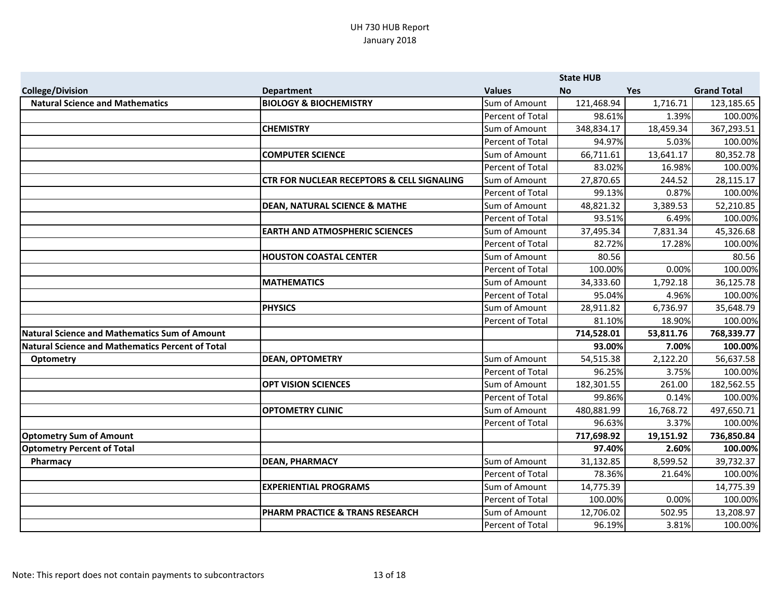|                                                  |                                                       |                  | <b>State HUB</b> |            |                    |
|--------------------------------------------------|-------------------------------------------------------|------------------|------------------|------------|--------------------|
| <b>College/Division</b>                          | <b>Department</b>                                     | <b>Values</b>    | <b>No</b>        | <b>Yes</b> | <b>Grand Total</b> |
| <b>Natural Science and Mathematics</b>           | <b>BIOLOGY &amp; BIOCHEMISTRY</b>                     | Sum of Amount    | 121,468.94       | 1,716.71   | 123,185.65         |
|                                                  |                                                       | Percent of Total | 98.61%           | 1.39%      | 100.00%            |
|                                                  | <b>CHEMISTRY</b>                                      | Sum of Amount    | 348,834.17       | 18,459.34  | 367,293.51         |
|                                                  |                                                       | Percent of Total | 94.97%           | 5.03%      | 100.00%            |
|                                                  | <b>COMPUTER SCIENCE</b>                               | Sum of Amount    | 66,711.61        | 13,641.17  | 80,352.78          |
|                                                  |                                                       | Percent of Total | 83.02%           | 16.98%     | 100.00%            |
|                                                  | <b>CTR FOR NUCLEAR RECEPTORS &amp; CELL SIGNALING</b> | Sum of Amount    | 27,870.65        | 244.52     | 28,115.17          |
|                                                  |                                                       | Percent of Total | 99.13%           | 0.87%      | 100.00%            |
|                                                  | <b>DEAN, NATURAL SCIENCE &amp; MATHE</b>              | Sum of Amount    | 48,821.32        | 3,389.53   | 52,210.85          |
|                                                  |                                                       | Percent of Total | 93.51%           | 6.49%      | 100.00%            |
|                                                  | <b>EARTH AND ATMOSPHERIC SCIENCES</b>                 | Sum of Amount    | 37,495.34        | 7,831.34   | 45,326.68          |
|                                                  |                                                       | Percent of Total | 82.72%           | 17.28%     | 100.00%            |
|                                                  | <b>HOUSTON COASTAL CENTER</b>                         | Sum of Amount    | 80.56            |            | 80.56              |
|                                                  |                                                       | Percent of Total | 100.00%          | 0.00%      | 100.00%            |
|                                                  | <b>MATHEMATICS</b>                                    | Sum of Amount    | 34,333.60        | 1,792.18   | 36,125.78          |
|                                                  |                                                       | Percent of Total | 95.04%           | 4.96%      | 100.00%            |
|                                                  | <b>PHYSICS</b>                                        | Sum of Amount    | 28,911.82        | 6,736.97   | 35,648.79          |
|                                                  |                                                       | Percent of Total | 81.10%           | 18.90%     | 100.00%            |
| Natural Science and Mathematics Sum of Amount    |                                                       |                  | 714,528.01       | 53,811.76  | 768,339.77         |
| Natural Science and Mathematics Percent of Total |                                                       |                  | 93.00%           | 7.00%      | 100.00%            |
| Optometry                                        | <b>DEAN, OPTOMETRY</b>                                | Sum of Amount    | 54,515.38        | 2,122.20   | 56,637.58          |
|                                                  |                                                       | Percent of Total | 96.25%           | 3.75%      | 100.00%            |
|                                                  | <b>OPT VISION SCIENCES</b>                            | Sum of Amount    | 182,301.55       | 261.00     | 182,562.55         |
|                                                  |                                                       | Percent of Total | 99.86%           | 0.14%      | 100.00%            |
|                                                  | <b>OPTOMETRY CLINIC</b>                               | Sum of Amount    | 480,881.99       | 16,768.72  | 497,650.71         |
|                                                  |                                                       | Percent of Total | 96.63%           | 3.37%      | 100.00%            |
| <b>Optometry Sum of Amount</b>                   |                                                       |                  | 717,698.92       | 19,151.92  | 736,850.84         |
| <b>Optometry Percent of Total</b>                |                                                       |                  | 97.40%           | 2.60%      | 100.00%            |
| Pharmacy                                         | <b>DEAN, PHARMACY</b>                                 | Sum of Amount    | 31,132.85        | 8,599.52   | 39,732.37          |
|                                                  |                                                       | Percent of Total | 78.36%           | 21.64%     | 100.00%            |
|                                                  | <b>EXPERIENTIAL PROGRAMS</b>                          | Sum of Amount    | 14,775.39        |            | 14,775.39          |
|                                                  |                                                       | Percent of Total | 100.00%          | 0.00%      | 100.00%            |
|                                                  | <b>PHARM PRACTICE &amp; TRANS RESEARCH</b>            | Sum of Amount    | 12,706.02        | 502.95     | 13,208.97          |
|                                                  |                                                       | Percent of Total | 96.19%           | 3.81%      | 100.00%            |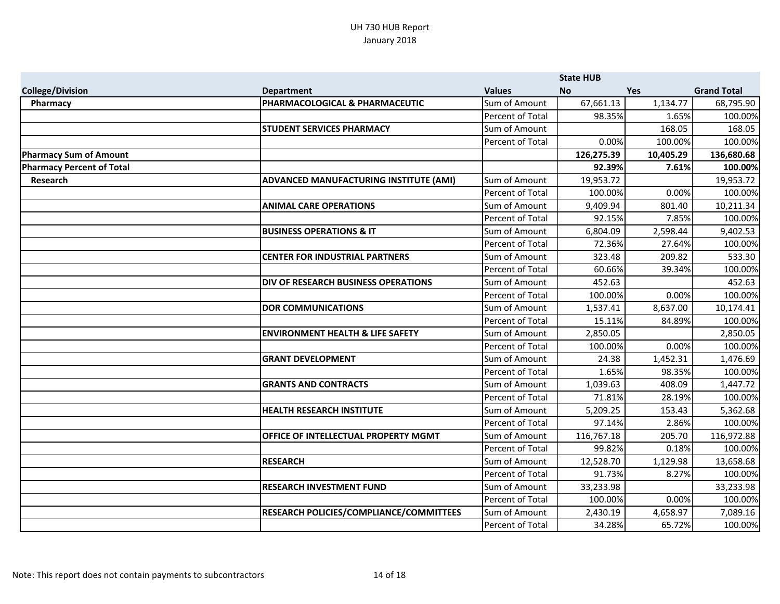|                                  |                                                |                         | <b>State HUB</b> |            |                    |
|----------------------------------|------------------------------------------------|-------------------------|------------------|------------|--------------------|
| <b>College/Division</b>          | <b>Department</b>                              | <b>Values</b>           | <b>No</b>        | <b>Yes</b> | <b>Grand Total</b> |
| Pharmacy                         | PHARMACOLOGICAL & PHARMACEUTIC                 | Sum of Amount           | 67,661.13        | 1,134.77   | 68,795.90          |
|                                  |                                                | Percent of Total        | 98.35%           | 1.65%      | 100.00%            |
|                                  | <b>STUDENT SERVICES PHARMACY</b>               | Sum of Amount           |                  | 168.05     | 168.05             |
|                                  |                                                | Percent of Total        | 0.00%            | 100.00%    | 100.00%            |
| <b>Pharmacy Sum of Amount</b>    |                                                |                         | 126,275.39       | 10,405.29  | 136,680.68         |
| <b>Pharmacy Percent of Total</b> |                                                |                         | 92.39%           | 7.61%      | 100.00%            |
| Research                         | <b>ADVANCED MANUFACTURING INSTITUTE (AMI)</b>  | Sum of Amount           | 19,953.72        |            | 19,953.72          |
|                                  |                                                | Percent of Total        | 100.00%          | 0.00%      | 100.00%            |
|                                  | <b>ANIMAL CARE OPERATIONS</b>                  | Sum of Amount           | 9,409.94         | 801.40     | 10,211.34          |
|                                  |                                                | Percent of Total        | 92.15%           | 7.85%      | 100.00%            |
|                                  | <b>BUSINESS OPERATIONS &amp; IT</b>            | Sum of Amount           | 6,804.09         | 2,598.44   | 9,402.53           |
|                                  |                                                | <b>Percent of Total</b> | 72.36%           | 27.64%     | 100.00%            |
|                                  | <b>CENTER FOR INDUSTRIAL PARTNERS</b>          | Sum of Amount           | 323.48           | 209.82     | 533.30             |
|                                  |                                                | Percent of Total        | 60.66%           | 39.34%     | 100.00%            |
|                                  | <b>DIV OF RESEARCH BUSINESS OPERATIONS</b>     | Sum of Amount           | 452.63           |            | 452.63             |
|                                  |                                                | Percent of Total        | 100.00%          | 0.00%      | 100.00%            |
|                                  | <b>DOR COMMUNICATIONS</b>                      | Sum of Amount           | 1,537.41         | 8,637.00   | 10,174.41          |
|                                  |                                                | Percent of Total        | 15.11%           | 84.89%     | 100.00%            |
|                                  | <b>ENVIRONMENT HEALTH &amp; LIFE SAFETY</b>    | Sum of Amount           | 2,850.05         |            | 2,850.05           |
|                                  |                                                | Percent of Total        | 100.00%          | 0.00%      | 100.00%            |
|                                  | <b>GRANT DEVELOPMENT</b>                       | Sum of Amount           | 24.38            | 1,452.31   | 1,476.69           |
|                                  |                                                | Percent of Total        | 1.65%            | 98.35%     | 100.00%            |
|                                  | <b>GRANTS AND CONTRACTS</b>                    | Sum of Amount           | 1,039.63         | 408.09     | 1,447.72           |
|                                  |                                                | Percent of Total        | 71.81%           | 28.19%     | 100.00%            |
|                                  | <b>HEALTH RESEARCH INSTITUTE</b>               | Sum of Amount           | 5,209.25         | 153.43     | 5,362.68           |
|                                  |                                                | Percent of Total        | 97.14%           | 2.86%      | 100.00%            |
|                                  | <b>OFFICE OF INTELLECTUAL PROPERTY MGMT</b>    | Sum of Amount           | 116,767.18       | 205.70     | 116,972.88         |
|                                  |                                                | Percent of Total        | 99.82%           | 0.18%      | 100.00%            |
|                                  | <b>RESEARCH</b>                                | Sum of Amount           | 12,528.70        | 1,129.98   | 13,658.68          |
|                                  |                                                | Percent of Total        | 91.73%           | 8.27%      | 100.00%            |
|                                  | <b>RESEARCH INVESTMENT FUND</b>                | Sum of Amount           | 33,233.98        |            | 33,233.98          |
|                                  |                                                | Percent of Total        | 100.00%          | 0.00%      | 100.00%            |
|                                  | <b>RESEARCH POLICIES/COMPLIANCE/COMMITTEES</b> | Sum of Amount           | 2,430.19         | 4,658.97   | 7,089.16           |
|                                  |                                                | Percent of Total        | 34.28%           | 65.72%     | 100.00%            |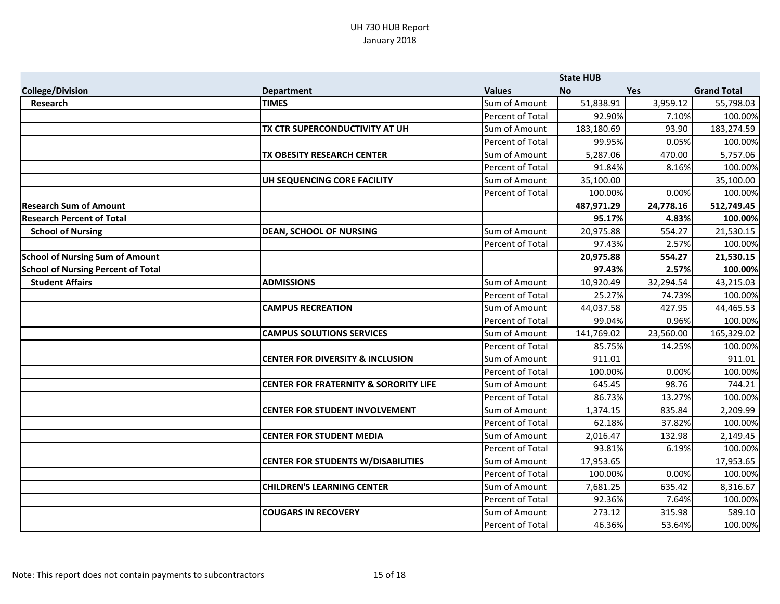|                                           |                                                  |                  | <b>State HUB</b> |            |                    |
|-------------------------------------------|--------------------------------------------------|------------------|------------------|------------|--------------------|
| <b>College/Division</b>                   | <b>Department</b>                                | <b>Values</b>    | <b>No</b>        | <b>Yes</b> | <b>Grand Total</b> |
| Research                                  | <b>TIMES</b>                                     | Sum of Amount    | 51,838.91        | 3,959.12   | 55,798.03          |
|                                           |                                                  | Percent of Total | 92.90%           | 7.10%      | 100.00%            |
|                                           | TX CTR SUPERCONDUCTIVITY AT UH                   | Sum of Amount    | 183,180.69       | 93.90      | 183,274.59         |
|                                           |                                                  | Percent of Total | 99.95%           | 0.05%      | 100.00%            |
|                                           | TX OBESITY RESEARCH CENTER                       | Sum of Amount    | 5,287.06         | 470.00     | 5,757.06           |
|                                           |                                                  | Percent of Total | 91.84%           | 8.16%      | 100.00%            |
|                                           | UH SEQUENCING CORE FACILITY                      | Sum of Amount    | 35,100.00        |            | 35,100.00          |
|                                           |                                                  | Percent of Total | 100.00%          | 0.00%      | 100.00%            |
| <b>Research Sum of Amount</b>             |                                                  |                  | 487,971.29       | 24,778.16  | 512,749.45         |
| <b>Research Percent of Total</b>          |                                                  |                  | 95.17%           | 4.83%      | 100.00%            |
| <b>School of Nursing</b>                  | <b>DEAN, SCHOOL OF NURSING</b>                   | Sum of Amount    | 20,975.88        | 554.27     | 21,530.15          |
|                                           |                                                  | Percent of Total | 97.43%           | 2.57%      | 100.00%            |
| <b>School of Nursing Sum of Amount</b>    |                                                  |                  | 20,975.88        | 554.27     | 21,530.15          |
| <b>School of Nursing Percent of Total</b> |                                                  |                  | 97.43%           | 2.57%      | 100.00%            |
| <b>Student Affairs</b>                    | <b>ADMISSIONS</b>                                | Sum of Amount    | 10,920.49        | 32,294.54  | 43,215.03          |
|                                           |                                                  | Percent of Total | 25.27%           | 74.73%     | 100.00%            |
|                                           | <b>CAMPUS RECREATION</b>                         | Sum of Amount    | 44,037.58        | 427.95     | 44,465.53          |
|                                           |                                                  | Percent of Total | 99.04%           | 0.96%      | 100.00%            |
|                                           | <b>CAMPUS SOLUTIONS SERVICES</b>                 | Sum of Amount    | 141,769.02       | 23,560.00  | 165,329.02         |
|                                           |                                                  | Percent of Total | 85.75%           | 14.25%     | 100.00%            |
|                                           | <b>CENTER FOR DIVERSITY &amp; INCLUSION</b>      | Sum of Amount    | 911.01           |            | 911.01             |
|                                           |                                                  | Percent of Total | 100.00%          | 0.00%      | 100.00%            |
|                                           | <b>CENTER FOR FRATERNITY &amp; SORORITY LIFE</b> | Sum of Amount    | 645.45           | 98.76      | 744.21             |
|                                           |                                                  | Percent of Total | 86.73%           | 13.27%     | 100.00%            |
|                                           | <b>CENTER FOR STUDENT INVOLVEMENT</b>            | Sum of Amount    | 1,374.15         | 835.84     | 2,209.99           |
|                                           |                                                  | Percent of Total | 62.18%           | 37.82%     | 100.00%            |
|                                           | <b>CENTER FOR STUDENT MEDIA</b>                  | Sum of Amount    | 2,016.47         | 132.98     | 2,149.45           |
|                                           |                                                  | Percent of Total | 93.81%           | 6.19%      | 100.00%            |
|                                           | <b>CENTER FOR STUDENTS W/DISABILITIES</b>        | Sum of Amount    | 17,953.65        |            | 17,953.65          |
|                                           |                                                  | Percent of Total | 100.00%          | 0.00%      | 100.00%            |
|                                           | <b>CHILDREN'S LEARNING CENTER</b>                | Sum of Amount    | 7,681.25         | 635.42     | 8,316.67           |
|                                           |                                                  | Percent of Total | 92.36%           | 7.64%      | 100.00%            |
|                                           | <b>COUGARS IN RECOVERY</b>                       | Sum of Amount    | 273.12           | 315.98     | 589.10             |
|                                           |                                                  | Percent of Total | 46.36%           | 53.64%     | 100.00%            |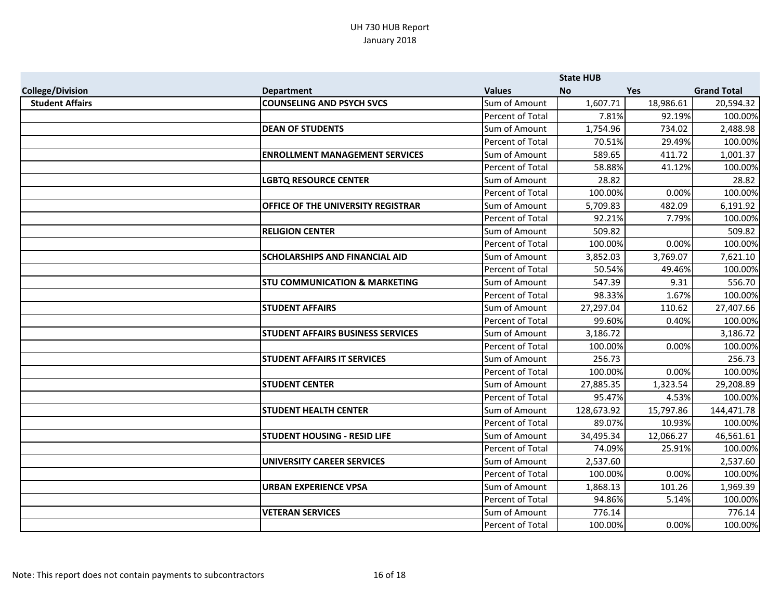|                         |                                           |                  | <b>State HUB</b> |            |                    |
|-------------------------|-------------------------------------------|------------------|------------------|------------|--------------------|
| <b>College/Division</b> | <b>Department</b>                         | <b>Values</b>    | <b>No</b>        | <b>Yes</b> | <b>Grand Total</b> |
| <b>Student Affairs</b>  | <b>COUNSELING AND PSYCH SVCS</b>          | Sum of Amount    | 1,607.71         | 18,986.61  | 20,594.32          |
|                         |                                           | Percent of Total | 7.81%            | 92.19%     | 100.00%            |
|                         | <b>DEAN OF STUDENTS</b>                   | Sum of Amount    | 1,754.96         | 734.02     | 2,488.98           |
|                         |                                           | Percent of Total | 70.51%           | 29.49%     | 100.00%            |
|                         | <b>ENROLLMENT MANAGEMENT SERVICES</b>     | Sum of Amount    | 589.65           | 411.72     | 1,001.37           |
|                         |                                           | Percent of Total | 58.88%           | 41.12%     | 100.00%            |
|                         | <b>LGBTQ RESOURCE CENTER</b>              | Sum of Amount    | 28.82            |            | 28.82              |
|                         |                                           | Percent of Total | 100.00%          | 0.00%      | 100.00%            |
|                         | <b>OFFICE OF THE UNIVERSITY REGISTRAR</b> | Sum of Amount    | 5,709.83         | 482.09     | 6,191.92           |
|                         |                                           | Percent of Total | 92.21%           | 7.79%      | 100.00%            |
|                         | <b>RELIGION CENTER</b>                    | Sum of Amount    | 509.82           |            | 509.82             |
|                         |                                           | Percent of Total | 100.00%          | 0.00%      | 100.00%            |
|                         | <b>SCHOLARSHIPS AND FINANCIAL AID</b>     | Sum of Amount    | 3,852.03         | 3,769.07   | 7,621.10           |
|                         |                                           | Percent of Total | 50.54%           | 49.46%     | 100.00%            |
|                         | <b>STU COMMUNICATION &amp; MARKETING</b>  | Sum of Amount    | 547.39           | 9.31       | 556.70             |
|                         |                                           | Percent of Total | 98.33%           | 1.67%      | 100.00%            |
|                         | <b>STUDENT AFFAIRS</b>                    | Sum of Amount    | 27,297.04        | 110.62     | 27,407.66          |
|                         |                                           | Percent of Total | 99.60%           | 0.40%      | 100.00%            |
|                         | <b>STUDENT AFFAIRS BUSINESS SERVICES</b>  | Sum of Amount    | 3,186.72         |            | 3,186.72           |
|                         |                                           | Percent of Total | 100.00%          | 0.00%      | 100.00%            |
|                         | <b>STUDENT AFFAIRS IT SERVICES</b>        | Sum of Amount    | 256.73           |            | 256.73             |
|                         |                                           | Percent of Total | 100.00%          | 0.00%      | 100.00%            |
|                         | <b>STUDENT CENTER</b>                     | Sum of Amount    | 27,885.35        | 1,323.54   | 29,208.89          |
|                         |                                           | Percent of Total | 95.47%           | 4.53%      | 100.00%            |
|                         | <b>STUDENT HEALTH CENTER</b>              | Sum of Amount    | 128,673.92       | 15,797.86  | 144,471.78         |
|                         |                                           | Percent of Total | 89.07%           | 10.93%     | 100.00%            |
|                         | <b>STUDENT HOUSING - RESID LIFE</b>       | Sum of Amount    | 34,495.34        | 12,066.27  | 46,561.61          |
|                         |                                           | Percent of Total | 74.09%           | 25.91%     | 100.00%            |
|                         | <b>UNIVERSITY CAREER SERVICES</b>         | Sum of Amount    | 2,537.60         |            | 2,537.60           |
|                         |                                           | Percent of Total | 100.00%          | 0.00%      | 100.00%            |
|                         | URBAN EXPERIENCE VPSA                     | Sum of Amount    | 1,868.13         | 101.26     | 1,969.39           |
|                         |                                           | Percent of Total | 94.86%           | 5.14%      | 100.00%            |
|                         | <b>VETERAN SERVICES</b>                   | Sum of Amount    | 776.14           |            | 776.14             |
|                         |                                           | Percent of Total | 100.00%          | 0.00%      | 100.00%            |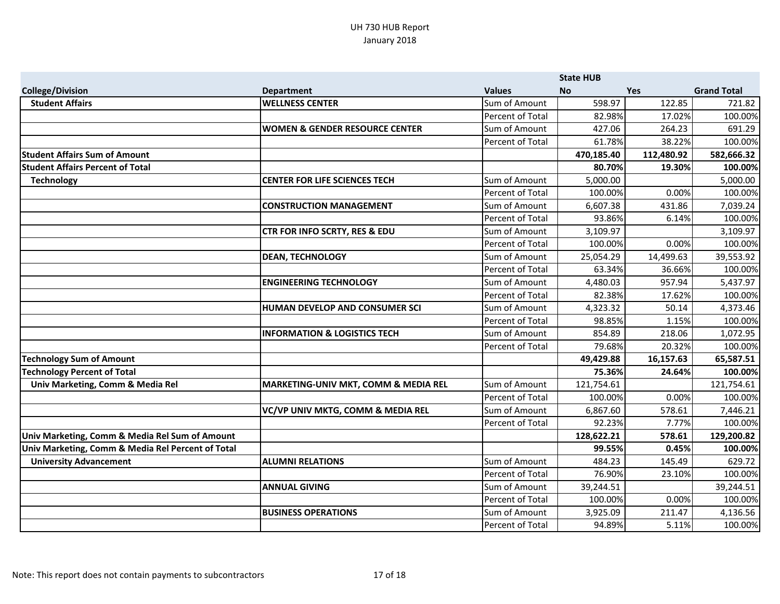|                                                   |                                                 |                  | <b>State HUB</b> |            |                    |
|---------------------------------------------------|-------------------------------------------------|------------------|------------------|------------|--------------------|
| <b>College/Division</b>                           | <b>Department</b>                               | <b>Values</b>    | <b>No</b>        | <b>Yes</b> | <b>Grand Total</b> |
| <b>Student Affairs</b>                            | <b>WELLNESS CENTER</b>                          | Sum of Amount    | 598.97           | 122.85     | 721.82             |
|                                                   |                                                 | Percent of Total | 82.98%           | 17.02%     | 100.00%            |
|                                                   | <b>WOMEN &amp; GENDER RESOURCE CENTER</b>       | Sum of Amount    | 427.06           | 264.23     | 691.29             |
|                                                   |                                                 | Percent of Total | 61.78%           | 38.22%     | 100.00%            |
| <b>Student Affairs Sum of Amount</b>              |                                                 |                  | 470,185.40       | 112,480.92 | 582,666.32         |
| <b>Student Affairs Percent of Total</b>           |                                                 |                  | 80.70%           | 19.30%     | 100.00%            |
| <b>Technology</b>                                 | <b>CENTER FOR LIFE SCIENCES TECH</b>            | Sum of Amount    | 5,000.00         |            | 5,000.00           |
|                                                   |                                                 | Percent of Total | 100.00%          | 0.00%      | 100.00%            |
|                                                   | <b>CONSTRUCTION MANAGEMENT</b>                  | Sum of Amount    | 6,607.38         | 431.86     | 7,039.24           |
|                                                   |                                                 | Percent of Total | 93.86%           | 6.14%      | 100.00%            |
|                                                   | <b>CTR FOR INFO SCRTY, RES &amp; EDU</b>        | Sum of Amount    | 3,109.97         |            | 3,109.97           |
|                                                   |                                                 | Percent of Total | 100.00%          | 0.00%      | 100.00%            |
|                                                   | <b>DEAN, TECHNOLOGY</b>                         | Sum of Amount    | 25,054.29        | 14,499.63  | 39,553.92          |
|                                                   |                                                 | Percent of Total | 63.34%           | 36.66%     | 100.00%            |
|                                                   | <b>ENGINEERING TECHNOLOGY</b>                   | Sum of Amount    | 4,480.03         | 957.94     | 5,437.97           |
|                                                   |                                                 | Percent of Total | 82.38%           | 17.62%     | 100.00%            |
|                                                   | <b>HUMAN DEVELOP AND CONSUMER SCI</b>           | Sum of Amount    | 4,323.32         | 50.14      | 4,373.46           |
|                                                   |                                                 | Percent of Total | 98.85%           | 1.15%      | 100.00%            |
|                                                   | <b>INFORMATION &amp; LOGISTICS TECH</b>         | Sum of Amount    | 854.89           | 218.06     | 1,072.95           |
|                                                   |                                                 | Percent of Total | 79.68%           | 20.32%     | 100.00%            |
| <b>Technology Sum of Amount</b>                   |                                                 |                  | 49,429.88        | 16,157.63  | 65,587.51          |
| <b>Technology Percent of Total</b>                |                                                 |                  | 75.36%           | 24.64%     | 100.00%            |
| Univ Marketing, Comm & Media Rel                  | <b>MARKETING-UNIV MKT, COMM &amp; MEDIA REL</b> | Sum of Amount    | 121,754.61       |            | 121,754.61         |
|                                                   |                                                 | Percent of Total | 100.00%          | 0.00%      | 100.00%            |
|                                                   | VC/VP UNIV MKTG, COMM & MEDIA REL               | Sum of Amount    | 6,867.60         | 578.61     | 7,446.21           |
|                                                   |                                                 | Percent of Total | 92.23%           | 7.77%      | 100.00%            |
| Univ Marketing, Comm & Media Rel Sum of Amount    |                                                 |                  | 128,622.21       | 578.61     | 129,200.82         |
| Univ Marketing, Comm & Media Rel Percent of Total |                                                 |                  | 99.55%           | 0.45%      | 100.00%            |
| <b>University Advancement</b>                     | <b>ALUMNI RELATIONS</b>                         | Sum of Amount    | 484.23           | 145.49     | 629.72             |
|                                                   |                                                 | Percent of Total | 76.90%           | 23.10%     | 100.00%            |
|                                                   | <b>ANNUAL GIVING</b>                            | Sum of Amount    | 39,244.51        |            | 39,244.51          |
|                                                   |                                                 | Percent of Total | 100.00%          | 0.00%      | 100.00%            |
|                                                   | <b>BUSINESS OPERATIONS</b>                      | Sum of Amount    | 3,925.09         | 211.47     | 4,136.56           |
|                                                   |                                                 | Percent of Total | 94.89%           | 5.11%      | 100.00%            |